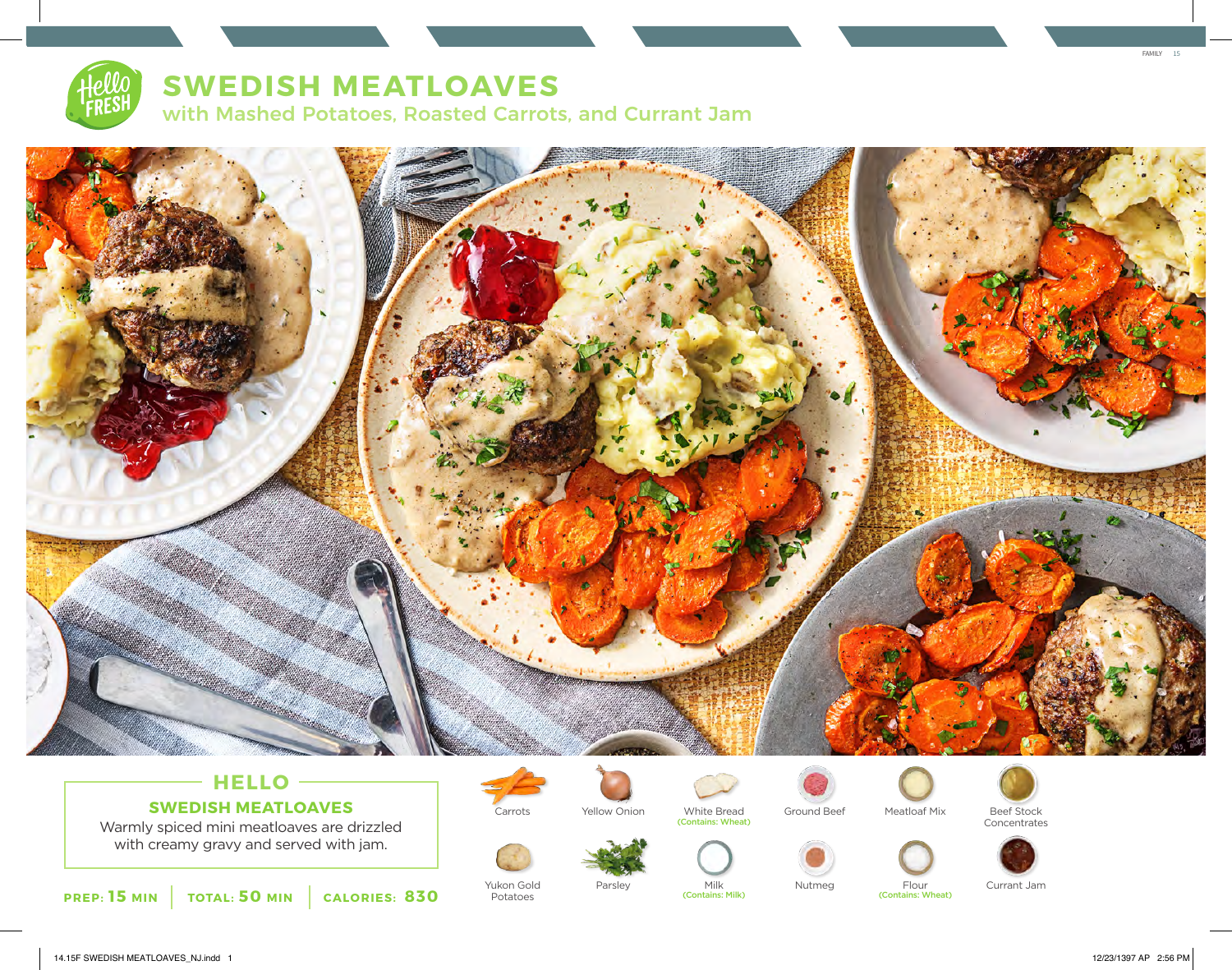

# **SWEDISH MEATLOAVES**

with Mashed Potatoes, Roasted Carrots, and Currant Jam



## **HELLO SWEDISH MEATLOAVES**

Warmly spiced mini meatloaves are drizzled with creamy gravy and served with jam.





Yukon Gold Potatoes



Carrots Ground Beef Beef Stock Yellow Onion White Bread Meatloaf Mix (Contains: Wheat)

(Contains: Milk)





Concentrates



Parsley Milk Nutmeg Flour Currant Jam<br>
Contains: Milk (Contains: Milk) (Contains: Wheat)

FAMILY 15